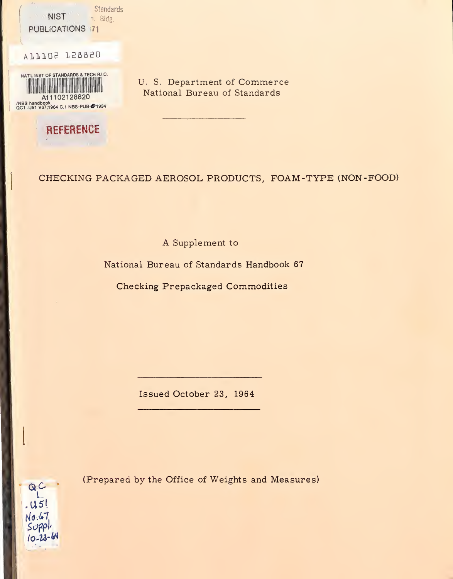**Standards** NIST n. Bldg. PUBLICATIONS 171

A11102 126620



**REFERENCE** 

U. S. Department of Commerce National Bureau of Standards

CHECKING PACKAGED AEROSOL PRODUCTS, FOAM-TYPE (NON-FOOD)

A Supplement to

National Bureau of Standards Handbook 67

Checking Prepackaged Commodities

Issued October 23, 1964



(Prepared by the Office of Weights and Measures)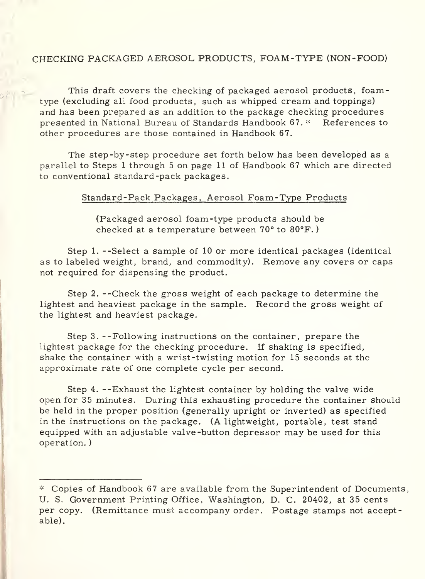## CHECKING PACKAGED AEROSOL PRODUCTS, FOAM-TYPE (NON-FOOD)

This draft covers the checking of packaged aerosol products, foamtype (excluding all food products, such as whipped cream and toppings) and has been prepared as an addition to the package checking procedures presented in National Bureau of Standards Handbook 67. \* References to other procedures are those contained in Handbook 67.

The step-by-step procedure set forth below has been developed as a parallel to Steps <sup>1</sup> through <sup>5</sup> on page <sup>11</sup> of Handbook 67 which are directed to conventional standard-pack packages.

## Standard-Pack Packages, Aerosol Foam-Type Products

(Packaged aerosol foam-type products should be checked at a temperature between 70° to 80°F. )

Step 1. - -Select a sample of 10 or more identical packages (identical as to labeled weight, brand, and commodity). Remove any covers or caps not required for dispensing the product.

Step 2. --Check the gross weight of each package to determine the lightest and heaviest package in the sample. Record the gross weight of the lightest and heaviest package.

Step 3. --Following instructions on the container, prepare the lightest package for the checking procedure. If shaking is specified, shake the container with a wrist-twisting motion for 15 seconds at the approximate rate of one complete cycle per second.

Step 4. - -Exhaust the lightest container by holding the valve wide open for 35 minutes. During this exhausting procedure the container should be held in the proper position (generally upright or inverted) as specified in the instructions on the package. (A lightweight, portable, test stand equipped with an adjustable valve-button depressor may be used for this operation. )

<sup>\*</sup> Copies of Handbook 67 are available from the Superintendent of Documents, U. S. Government Printing Office, Washington, D. C. 20402, at 35 cents per copy. (Remittance must accompany order. Postage stamps not acceptable).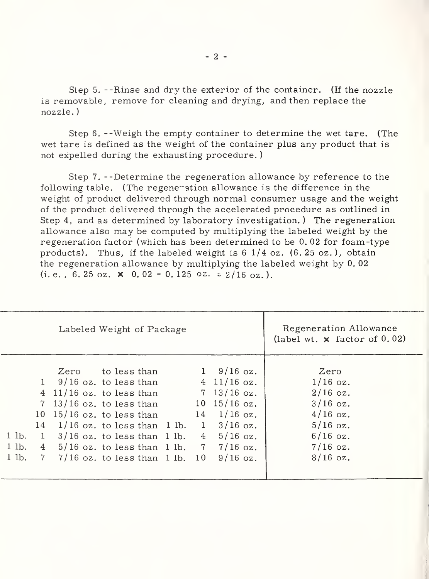Step 5. --Rinse and dry the exterior of the container. (If the nozzle is removable, remove for cleaning and drying, and then replace the nozzle. )

Step 6. - -Weigh the empty container to determine the wet tare. (The wet tare is defined as the weight of the container plus any product that is not expelled during the exhausting procedure. )

Step 7. - -Determine the regeneration allowance by reference to the following table. (The regeneration allowance is the difference in the weight of product delivered through normal consumer usage and the weight of the product delivered through the accelerated procedure as outlined in Step 4, and as determined by laboratory investigation. ) The regeneration allowance also may be computed by multiplying the labeled weight by the regeneration factor (which has been determined to be 0. 02 for foam-type products). Thus, if the labeled weight is <sup>6</sup> 1/4 oz. (6. 25 oz. ), obtain the regeneration allowance by multiplying the labeled weight by 0. 02 (i. e., 6. 25 oz.  $\times$  0. 02 = 0. 125 oz. = 2/16 oz.).

| Labeled Weight of Package |    |  |                                                                                                                                                                                                                                                                                                                                               |  |                |                                                                                                                                                                   | Regeneration Allowance<br>(label wt. $\times$ factor of 0.02)                                                        |
|---------------------------|----|--|-----------------------------------------------------------------------------------------------------------------------------------------------------------------------------------------------------------------------------------------------------------------------------------------------------------------------------------------------|--|----------------|-------------------------------------------------------------------------------------------------------------------------------------------------------------------|----------------------------------------------------------------------------------------------------------------------|
| 1 lb.<br>1 lb.<br>1 lb.   | 10 |  | Zero to less than<br>$1\quad 9/16$ oz. to less than<br>$4 \frac{11}{16}$ oz. to less than<br>$7\quad13/16$ oz. to less than<br>$15/16$ oz. to less than<br>$14 \quad 1/16$ oz. to less than 1 lb.<br>$1 \frac{3}{16}$ oz. to less than 1 lb. 4 5/16 oz.<br>4 $5/16$ oz. to less than 1 lb. 7 7/16 oz.<br>$7\quad 7/16$ oz. to less than 1 lb. |  | $\overline{1}$ | $1 \quad 9/16 \text{ oz.}$<br>$4\frac{11}{16}$ oz.<br>$7 \frac{13}{16}$ oz.<br>$10\;\; 15/16$ oz.<br>$14 \quad 1/16 \text{ oz.}$<br>$3/16$ oz.<br>$10 \t9/16$ oz. | Zero<br>$1/16$ oz.<br>$2/16$ oz.<br>$3/16$ oz.<br>$4/16$ oz.<br>$5/16$ oz.<br>$6/16$ oz.<br>$7/16$ oz.<br>$8/16$ oz. |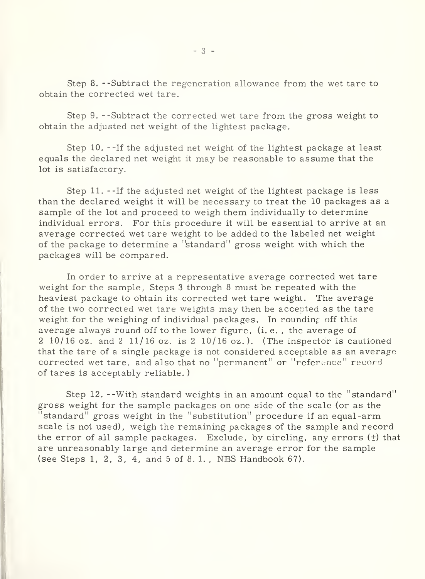Step 8. --Subtract the regeneration allowance from the wet tare to obtain the corrected wet tare.

Step 9. - -Subtract the corrected wet tare from the gross weight to obtain the adjusted net weight of the lightest package.

Step 10. - -If the adjusted net weight of the lightest package at least equals the declared net weight it may be reasonable to assume that the lot is satisfactory.

Step 11. - -If the adjusted net weight of the lightest package is less than the declared weight it will be necessary to treat the <sup>10</sup> packages as a sample of the lot and proceed to weigh them individually to determine individual errors. For this procedure it will be essential to arrive at an average corrected wet tare weight to be added to the labeled net weight of the package to determine a "standard" gross weight with which the packages will be compared.

In order to arrive at a representative average corrected wet tare weight for the sample, Steps <sup>3</sup> through <sup>8</sup> must be repeated with the heaviest package to obtain its corrected wet tare weight. The average of the two corrected wet tare weights may then be accepted as the tare weight for the weighing of individual packages. In rounding off this average always round off to the lower figure, (i. e. , the average of 2 10/16 oz. and 2 11/16 oz. is 2 10/16 oz.). (The inspector is cautioned that the tare of a single package is not considered acceptable as an average corrected wet tare, and also that no "permanent" or "reference" record of tares is acceptably reliable. )

Step 12. - -With standard weights in an amount equal to the "standard" gross weight for the sample packages on one side of the scale (or as the "standard" gross weight in the "substitution" procedure if an equal-arm scale is not used), weigh the remaining packages of the sample and record the error of all sample packages. Exclude, by circling, any errors  $(\pm)$  that are unreasonably large and determine an average error for the sample (see Steps 1, 2, 3, 4, and <sup>5</sup> of 8. 1. , NBS Handbook 67).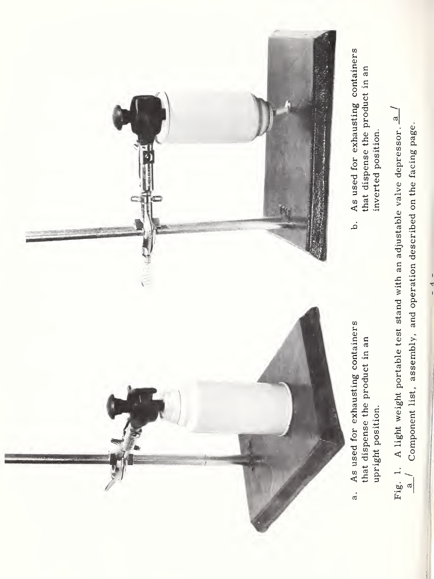

a. As used for exhausting containers that dispense the product in an upright position.

- b. As used for exhausting containers that dispense the product in an inverted position.
- Fig. 1. A light weight portable test stand with an adjustable valve depressor.  $\frac{a}{a}$  Component liet contribution Component list, assembly, and operation described on the facing page.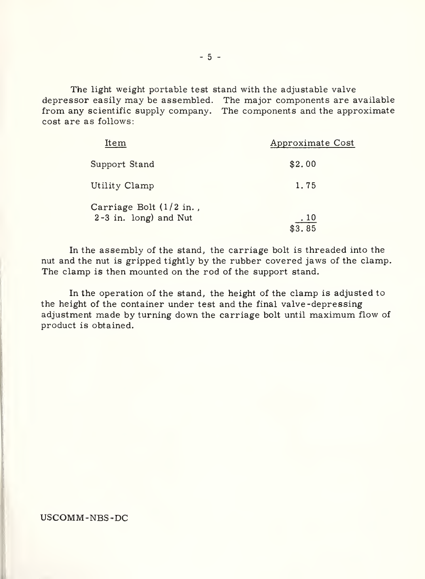The light weight portable test stand with the adjustable valve depressor easily may be assembled, The major components are available from any scientific supply company, The components and the approximate cost are as follows:

| Item                                             | Approximate Cost     |
|--------------------------------------------------|----------------------|
| Support Stand                                    | \$2.00               |
| Utility Clamp                                    | 1.75                 |
| Carriage Bolt (1/2 in.,<br>2-3 in. long) and Nut | $\cdot$ 10<br>\$3.85 |

In the assembly of the stand, the carriage bolt is threaded into the nut and the nut is gripped tightly by the rubber covered jaws of the clamp. The clamp is then mounted on the rod of the support stand.

In the operation of the stand, the height of the clamp is adjusted to the height of the container under test and the final valve-depressing adjustment made by turning down the carriage bolt until maximum flow of product is obtained.

USCOMM-NBS-DC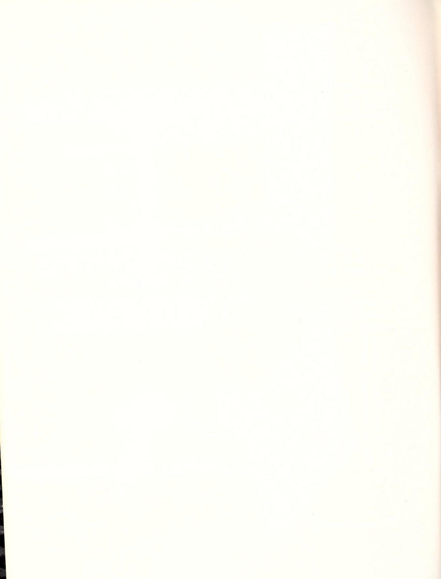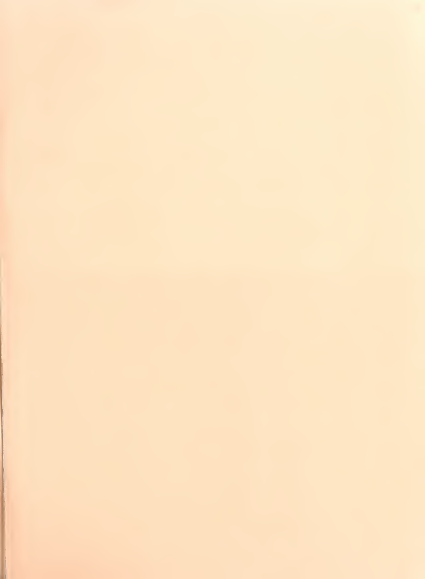